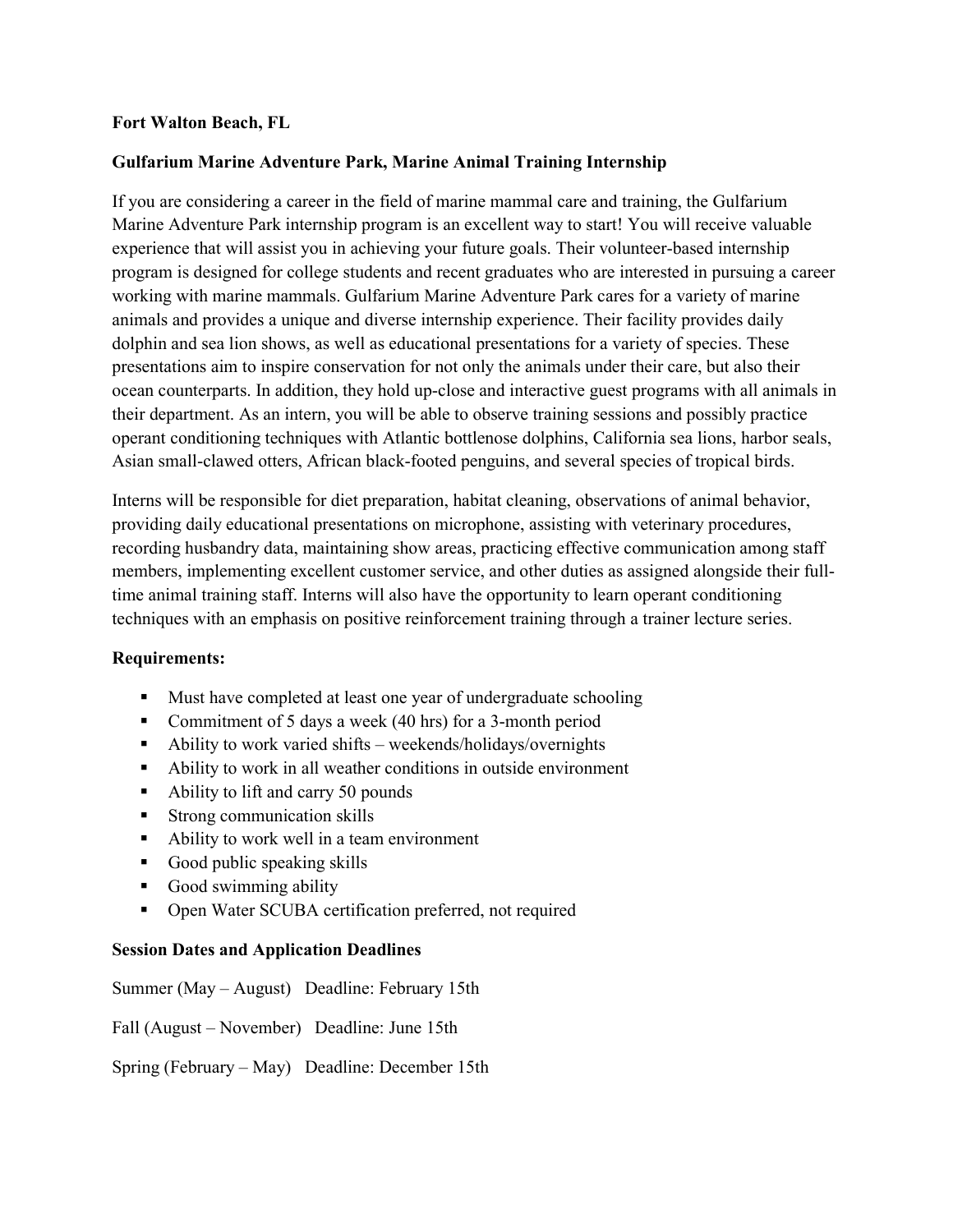## **Fort Walton Beach, FL**

## **Gulfarium Marine Adventure Park, Marine Animal Training Internship**

If you are considering a career in the field of marine mammal care and training, the Gulfarium Marine Adventure Park internship program is an excellent way to start! You will receive valuable experience that will assist you in achieving your future goals. Their volunteer-based internship program is designed for college students and recent graduates who are interested in pursuing a career working with marine mammals. Gulfarium Marine Adventure Park cares for a variety of marine animals and provides a unique and diverse internship experience. Their facility provides daily dolphin and sea lion shows, as well as educational presentations for a variety of species. These presentations aim to inspire conservation for not only the animals under their care, but also their ocean counterparts. In addition, they hold up-close and interactive guest programs with all animals in their department. As an intern, you will be able to observe training sessions and possibly practice operant conditioning techniques with Atlantic bottlenose dolphins, California sea lions, harbor seals, Asian small-clawed otters, African black-footed penguins, and several species of tropical birds.

Interns will be responsible for diet preparation, habitat cleaning, observations of animal behavior, providing daily educational presentations on microphone, assisting with veterinary procedures, recording husbandry data, maintaining show areas, practicing effective communication among staff members, implementing excellent customer service, and other duties as assigned alongside their fulltime animal training staff. Interns will also have the opportunity to learn operant conditioning techniques with an emphasis on positive reinforcement training through a trainer lecture series.

### **Requirements:**

- **Must have completed at least one year of undergraduate schooling**
- Commitment of 5 days a week (40 hrs) for a 3-month period
- Ability to work varied shifts weekends/holidays/overnights
- Ability to work in all weather conditions in outside environment
- Ability to lift and carry 50 pounds
- **Strong communication skills**
- Ability to work well in a team environment
- Good public speaking skills
- Good swimming ability
- Open Water SCUBA certification preferred, not required

### **Session Dates and Application Deadlines**

Summer (May – August) Deadline: February 15th

Fall (August – November) Deadline: June 15th

Spring (February – May) Deadline: December 15th